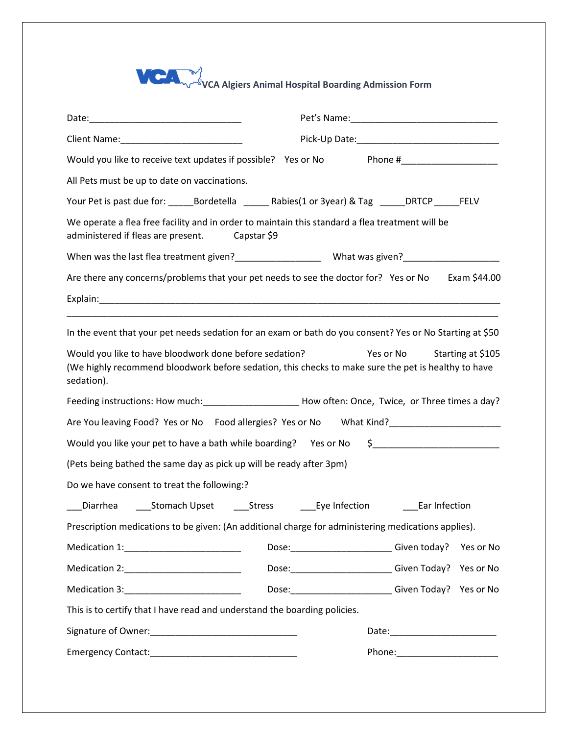## **VCA Algiers Animal Hospital Boarding Admission Form**

| Pick-Up Date: National Accounts and Accounts and Accounts and Accounts and Accounts and Accounts and Accounts and Accounts and Accounts and Accounts and Accounts and Accounts and Accounts and Accounts and Accounts and Acco<br>Would you like to receive text updates if possible? Yes or No Phone #__________________ |
|---------------------------------------------------------------------------------------------------------------------------------------------------------------------------------------------------------------------------------------------------------------------------------------------------------------------------|
|                                                                                                                                                                                                                                                                                                                           |
|                                                                                                                                                                                                                                                                                                                           |
| All Pets must be up to date on vaccinations.                                                                                                                                                                                                                                                                              |
| Your Pet is past due for: _______Bordetella __________Rabies(1 or 3year) & Tag ______DRTCP _______FELV                                                                                                                                                                                                                    |
| We operate a flea free facility and in order to maintain this standard a flea treatment will be<br>administered if fleas are present. Capstar \$9                                                                                                                                                                         |
|                                                                                                                                                                                                                                                                                                                           |
| Are there any concerns/problems that your pet needs to see the doctor for? Yes or No Exam \$44.00                                                                                                                                                                                                                         |
|                                                                                                                                                                                                                                                                                                                           |
| In the event that your pet needs sedation for an exam or bath do you consent? Yes or No Starting at \$50<br>Would you like to have bloodwork done before sedation?<br>Yes or No<br>Starting at \$105<br>(We highly recommend bloodwork before sedation, this checks to make sure the pet is healthy to have<br>sedation). |
|                                                                                                                                                                                                                                                                                                                           |
|                                                                                                                                                                                                                                                                                                                           |
| Would you like your pet to have a bath while boarding? Yes or No \$_________________________________                                                                                                                                                                                                                      |
| (Pets being bathed the same day as pick up will be ready after 3pm)                                                                                                                                                                                                                                                       |
| Do we have consent to treat the following:?                                                                                                                                                                                                                                                                               |
|                                                                                                                                                                                                                                                                                                                           |
| Prescription medications to be given: (An additional charge for administering medications applies).                                                                                                                                                                                                                       |
| Dose: _________________________Given today? Yes or No                                                                                                                                                                                                                                                                     |
| Dose: ________________________Given Today? Yes or No                                                                                                                                                                                                                                                                      |
| Dose: _________________________________Given Today? Yes or No<br>Medication 3: 2008                                                                                                                                                                                                                                       |
| This is to certify that I have read and understand the boarding policies.                                                                                                                                                                                                                                                 |
|                                                                                                                                                                                                                                                                                                                           |
| Phone:___________________________                                                                                                                                                                                                                                                                                         |